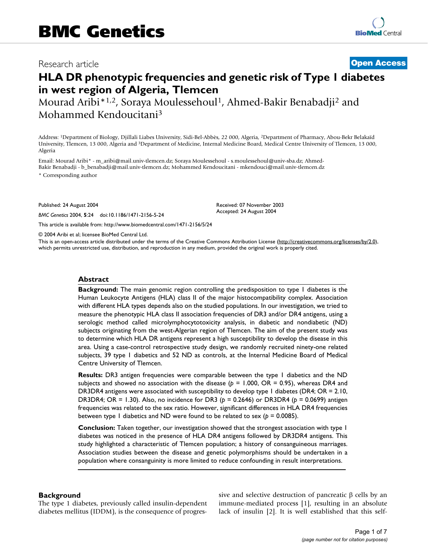## Research article **[Open Access](http://www.biomedcentral.com/info/about/charter/)**

# **HLA DR phenotypic frequencies and genetic risk of Type 1 diabetes in west region of Algeria, Tlemcen**

Mourad Aribi\*<sup>1,2</sup>, Soraya Moulessehoul<sup>1</sup>, Ahmed-Bakir Benabadji<sup>2</sup> and Mohammed Kendoucitani3

Address: 1Department of Biology, Djillali Liabes University, Sidi-Bel-Abbès, 22 000, Algeria, 2Department of Pharmacy, Abou-Bekr Belakaïd University, Tlemcen, 13 000, Algeria and 3Department of Medicine, Internal Medicine Board, Medical Centre University of Tlemcen, 13 000, Algeria

Email: Mourad Aribi\* - m\_aribi@mail.univ-tlemcen.dz; Soraya Moulessehoul - s.moulessehoul@univ-sba.dz; Ahmed-Bakir Benabadji - b\_benabadji@mail.univ-tlemcen.dz; Mohammed Kendoucitani - mkendouci@mail.univ-tlemcen.dz

\* Corresponding author

Published: 24 August 2004

*BMC Genetics* 2004, **5**:24 doi:10.1186/1471-2156-5-24

[This article is available from: http://www.biomedcentral.com/1471-2156/5/24](http://www.biomedcentral.com/1471-2156/5/24)

© 2004 Aribi et al; licensee BioMed Central Ltd.

This is an open-access article distributed under the terms of the Creative Commons Attribution License (<http://creativecommons.org/licenses/by/2.0>), which permits unrestricted use, distribution, and reproduction in any medium, provided the original work is properly cited.

Received: 07 November 2003 Accepted: 24 August 2004

#### **Abstract**

**Background:** The main genomic region controlling the predisposition to type 1 diabetes is the Human Leukocyte Antigens (HLA) class II of the major histocompatibility complex. Association with different HLA types depends also on the studied populations. In our investigation, we tried to measure the phenotypic HLA class II association frequencies of DR3 and/or DR4 antigens, using a serologic method called microlymphocytotoxicity analysis, in diabetic and nondiabetic (ND) subjects originating from the west-Algerian region of Tlemcen. The aim of the present study was to determine which HLA DR antigens represent a high susceptibility to develop the disease in this area. Using a case-control retrospective study design, we randomly recruited ninety-one related subjects, 39 type 1 diabetics and 52 ND as controls, at the Internal Medicine Board of Medical Centre University of Tlemcen.

**Results:** DR3 antigen frequencies were comparable between the type 1 diabetics and the ND subjects and showed no association with the disease (*p* = 1.000, OR = 0.95), whereas DR4 and DR3DR4 antigens were associated with susceptibility to develop type 1 diabetes (DR4; OR = 2.10, DR3DR4; OR = 1.30). Also, no incidence for DR3 (*p* = 0.2646) or DR3DR4 (*p* = 0.0699) antigen frequencies was related to the sex ratio. However, significant differences in HLA DR4 frequencies between type 1 diabetics and ND were found to be related to sex (*p* = 0.0085).

**Conclusion:** Taken together, our investigation showed that the strongest association with type 1 diabetes was noticed in the presence of HLA DR4 antigens followed by DR3DR4 antigens. This study highlighted a characteristic of Tlemcen population; a history of consanguineous marriages. Association studies between the disease and genetic polymorphisms should be undertaken in a population where consanguinity is more limited to reduce confounding in result interpretations.

### **Background**

The type 1 diabetes, previously called insulin-dependent diabetes mellitus (IDDM), is the consequence of progressive and selective destruction of pancreatic β cells by an immune-mediated process [1], resulting in an absolute lack of insulin [2]. It is well established that this self-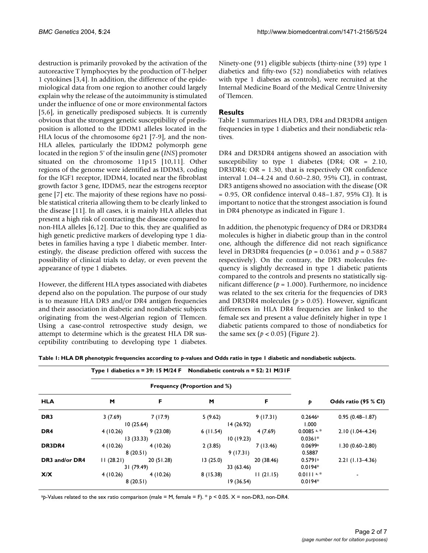destruction is primarily provoked by the activation of the autoreactive T lymphocytes by the production of T-helper 1 cytokines [3,4]. In addition, the difference of the epidemiological data from one region to another could largely explain why the release of the autoimmunity is stimulated under the influence of one or more environmental factors [5,6], in genetically predisposed subjects. It is currently obvious that the strongest genetic susceptibility of predisposition is allotted to the IDDM1 alleles located in the HLA locus of the chromosome 6p21 [7-9], and the non-HLA alleles, particularly the IDDM2 polymorph gene located in the region 5' of the insulin gene (*INS*) promoter situated on the chromosome 11p15 [10,11]. Other regions of the genome were identified as IDDM3, coding for the IGF1 receptor, IDDM4, located near the fibroblast growth factor 3 gene, IDDM5, near the estrogens receptor gene [7] etc. The majority of these regions have no possible statistical criteria allowing them to be clearly linked to the disease [11]. In all cases, it is mainly HLA alleles that present a high risk of contracting the disease compared to non-HLA alleles [6,12]. Due to this, they are qualified as high genetic predictive markers of developing type 1 diabetes in families having a type 1 diabetic member. Interestingly, the disease prediction offered with success the possibility of clinical trials to delay, or even prevent the appearance of type 1 diabetes.

However, the different HLA types associated with diabetes depend also on the population. The purpose of our study is to measure HLA DR3 and/or DR4 antigen frequencies and their association in diabetic and nondiabetic subjects originating from the west-Algerian region of Tlemcen. Using a case-control retrospective study design, we attempt to determine which is the greatest HLA DR susceptibility contributing to developing type 1 diabetes. Ninety-one (91) eligible subjects (thirty-nine (39) type 1 diabetics and fifty-two (52) nondiabetics with relatives with type 1 diabetes as controls), were recruited at the Internal Medicine Board of the Medical Centre University of Tlemcen.

### **Results**

Table [1](#page-1-0) summarizes HLA DR3, DR4 and DR3DR4 antigen frequencies in type 1 diabetics and their nondiabetic relatives.

DR4 and DR3DR4 antigens showed an association with susceptibility to type 1 diabetes (DR4; OR = 2.10, DR3DR4; OR =  $1.30$ , that is respectively OR confidence interval 1.04–4.24 and 0.60–2.80, 95% CI), in contrast, DR3 antigens showed no association with the disease (OR  $= 0.95$ , OR confidence interval 0.48–1.87, 95% CI). It is important to notice that the strongest association is found in DR4 phenotype as indicated in Figure 1.

In addition, the phenotypic frequency of DR4 or DR3DR4 molecules is higher in diabetic group than in the control one, although the difference did not reach significance level in DR3DR4 frequencies (*p* = 0.0361 and *p* = 0.5887 respectively). On the contrary, the DR3 molecules frequency is slightly decreased in type 1 diabetic patients compared to the controls and presents no statistically significant difference (*p* = 1.000). Furthermore, no incidence was related to the sex criteria for the frequencies of DR3 and DR3DR4 molecules (*p* > 0.05). However, significant differences in HLA DR4 frequencies are linked to the female sex and present a value definitely higher in type 1 diabetic patients compared to those of nondiabetics for the same sex  $(p < 0.05)$  (Figure 2).

<span id="page-1-0"></span>

|  | Table 1: HLA DR phenotypic frequencies according to p-values and Odds ratio in type 1 diabetic and nondiabetic subjects. |  |
|--|--------------------------------------------------------------------------------------------------------------------------|--|
|--|--------------------------------------------------------------------------------------------------------------------------|--|

|                 | Type I diabetics $n = 39$ : 15 M/24 F |           |            | Nondiabetic controls $n = 52$ : 21 M/31F |               |                      |
|-----------------|---------------------------------------|-----------|------------|------------------------------------------|---------------|----------------------|
|                 | <b>Frequency (Proportion and %)</b>   |           |            |                                          |               |                      |
| <b>HLA</b>      | M                                     | F.        | M          | F                                        | Þ             | Odds ratio (95 % CI) |
| DR <sub>3</sub> | 3(7.69)                               | 7(17.9)   | 5(9.62)    | 9(17.31)                                 | 0.2646a       | $0.95(0.48 - 1.87)$  |
|                 | 10(25.64)                             |           |            | 14 (26.92)                               |               |                      |
| DR <sub>4</sub> | 4 (10.26)                             | 9(23.08)  | 6(11.54)   | 4(7.69)                                  | $0.0085$ a, * | $2.10(1.04 - 4.24)$  |
|                 | 13(33.33)                             |           | 10(19.23)  |                                          | $0.0361*$     |                      |
| DR3DR4          | 4 (10.26)                             | 4(10.26)  | 2(3.85)    | 7(13.46)                                 | 0.0699a       | $1.30(0.60 - 2.80)$  |
|                 | 8(20.51)                              |           | 9(17.31)   |                                          | 0.5887        |                      |
| DR3 and/or DR4  | 11(28.21)                             | 20(51.28) | 13(25.0)   | 20 (38.46)                               | 0.5791a       | $2.21(1.13-4.36)$    |
|                 | 31 (79.49)                            |           | 33 (63.46) |                                          | $0.0194*$     |                      |
| X/X             | 4 (10.26)                             | 4(10.26)  | 8(15.38)   | 11(21.15)                                | $0.0111a.*$   |                      |
| 8(20.51)        |                                       | 19(36.54) |            | $0.0194*$                                |               |                      |

a*p*-Values related to the sex ratio comparison (male = M, female = F). \* *p* < 0.05. X = non-DR3, non-DR4.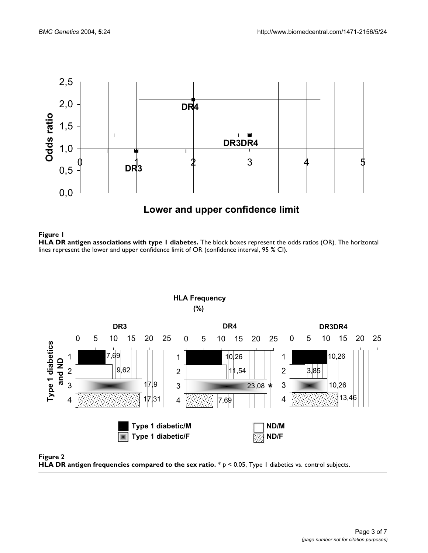

# **Figure 1 HLA DR antigen associations with type 1 diabetes.** The block boxes represent the odds ratios (OR). The horizontal lines represent the lower and upper confidence limit of OR (confidence interval, 95 % CI).

 **HLA Frequency (%) DR3 DR4 DR3DR4** 0 5 10 15 20 25 0 5 10 15 20 25 0 5 10 15 20 25 **Type 1 diabetics**  Type 1 diabetics 1 7,69 1 10,26 1 10,26 **and ND** 2 9,62 3,85 2 11 2 3 17,9 3 3 23,08 10,26 \*4 13,46 4 17,31 4 7,69 Type 1 diabetic/M **ND/M Type 1 diabetic/F** ND/F

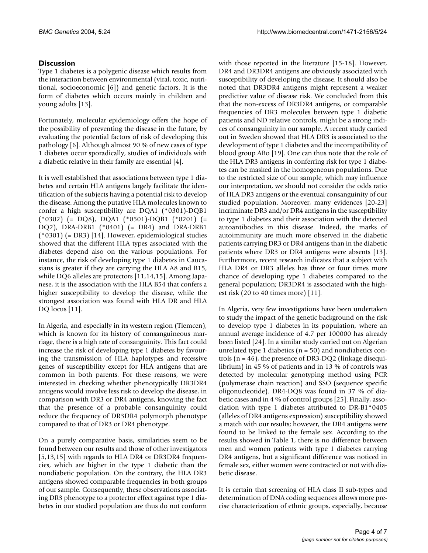### **Discussion**

Type 1 diabetes is a polygenic disease which results from the interaction between environmental (viral, toxic, nutritional, socioeconomic [6]) and genetic factors. It is the form of diabetes which occurs mainly in children and young adults [13].

Fortunately, molecular epidemiology offers the hope of the possibility of preventing the disease in the future, by evaluating the potential factors of risk of developing this pathology [6]. Although almost 90 % of new cases of type 1 diabetes occur sporadically, studies of individuals with a diabetic relative in their family are essential [4].

It is well established that associations between type 1 diabetes and certain HLA antigens largely facilitate the identification of the subjects having a potential risk to develop the disease. Among the putative HLA molecules known to confer a high susceptibility are DQA1 (\*0301)-DQB1 (\*0302) (= DQ8), DQA1 (\*0501)-DQB1 (\*0201) (= DQ2), DRA-DRB1 (\*0401) (= DR4) and DRA-DRB1 (\*0301) (= DR3) [14]. However, epidemiological studies showed that the different HLA types associated with the diabetes depend also on the various populations. For instance, the risk of developing type 1 diabetes in Caucasians is greater if they are carrying the HLA A8 and B15, while DQ6 alleles are protectors [11,14,15]. Among Japanese, it is the association with the HLA B54 that confers a higher susceptibility to develop the disease, while the strongest association was found with HLA DR and HLA DQ locus [11].

In Algeria, and especially in its western region (Tlemcen), which is known for its history of consanguineous marriage, there is a high rate of consanguinity. This fact could increase the risk of developing type 1 diabetes by favouring the transmission of HLA haplotypes and recessive genes of susceptibility except for HLA antigens that are common in both parents. For these reasons, we were interested in checking whether phenotypically DR3DR4 antigens would involve less risk to develop the disease, in comparison with DR3 or DR4 antigens, knowing the fact that the presence of a probable consanguinity could reduce the frequency of DR3DR4 polymorph phenotype compared to that of DR3 or DR4 phenotype.

On a purely comparative basis, similarities seem to be found between our results and those of other investigators [5,13,15] with regards to HLA DR4 or DR3DR4 frequencies, which are higher in the type 1 diabetic than the nondiabetic population. On the contrary, the HLA DR3 antigens showed comparable frequencies in both groups of our sample. Consequently, these observations associating DR3 phenotype to a protector effect against type 1 diabetes in our studied population are thus do not conform

with those reported in the literature [15-18]. However, DR4 and DR3DR4 antigens are obviously associated with susceptibility of developing the disease. It should also be noted that DR3DR4 antigens might represent a weaker predictive value of disease risk. We concluded from this that the non-excess of DR3DR4 antigens, or comparable frequencies of DR3 molecules between type 1 diabetic patients and ND relative controls, might be a strong indices of consanguinity in our sample. A recent study carried out in Sweden showed that HLA DR3 is associated to the development of type 1 diabetes and the incompatibility of blood group ABo [19]. One can thus note that the role of the HLA DR3 antigens in conferring risk for type 1 diabetes can be masked in the homogeneous populations. Due to the restricted size of our sample, which may influence our interpretation, we should not consider the odds ratio of HLA DR3 antigens or the eventual consanguinity of our studied population. Moreover, many evidences [20-23] incriminate DR3 and/or DR4 antigens in the susceptibility to type 1 diabetes and their association with the detected autoantibodies in this disease. Indeed, the marks of autoimmunity are much more observed in the diabetic patients carrying DR3 or DR4 antigens than in the diabetic patients where DR3 or DR4 antigens were absents [13]. Furthermore, recent research indicates that a subject with HLA DR4 or DR3 alleles has three or four times more chance of developing type 1 diabetes compared to the general population; DR3DR4 is associated with the highest risk (20 to 40 times more) [11].

In Algeria, very few investigations have been undertaken to study the impact of the genetic background on the risk to develop type 1 diabetes in its population, where an annual average incidence of 4.7 per 100000 has already been listed [24]. In a similar study carried out on Algerian unrelated type 1 diabetics ( $n = 50$ ) and nondiabetics controls (n = 46), the presence of DR3-DQ2 (linkage disequilibrium) in 45 % of patients and in 13 % of controls was detected by molecular genotyping method using PCR (polymerase chain reaction) and SSO (sequence specific oligonucleotide). DR4-DQ8 was found in 37 % of diabetic cases and in 4 % of control groups [25]. Finally, association with type 1 diabetes attributed to DR-B1\*0405 (alleles of DR4 antigens expression) susceptibility showed a match with our results; however, the DR4 antigens were found to be linked to the female sex. According to the results showed in Table [1](#page-1-0), there is no difference between men and women patients with type 1 diabetes carrying DR4 antigens, but a significant difference was noticed in female sex, either women were contracted or not with diabetic disease.

It is certain that screening of HLA class II sub-types and determination of DNA coding sequences allows more precise characterization of ethnic groups, especially, because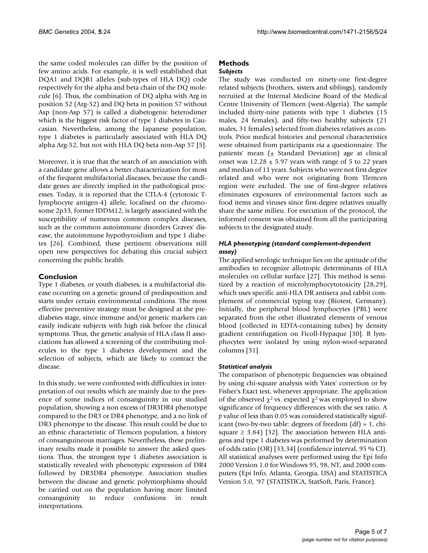the same coded molecules can differ by the position of few amino acids. For example, it is well established that DQA1 and DQB1 alleles (sub-types of HLA DQ) code respectively for the alpha and beta chain of the DQ molecule [6]. Thus, the combination of DQ alpha with Arg in position 52 (Arg-52) and DQ beta in position 57 without Asp (non-Asp 57) is called a diabetogenic heterodimer which is the biggest risk factor of type 1 diabetes in Caucasian. Nevertheless, among the Japanese population, type 1 diabetes is particularly associated with HLA DQ alpha Arg-52, but not with HLA DQ beta non-Asp 57 [5].

Moreover, it is true that the search of an association with a candidate gene allows a better characterization for most of the frequent multifactorial diseases, because the candidate genes are directly implied in the pathological processes. Today, it is reported that the CTLA-4 (cytotoxic Tlymphocyte antigen-4) allele, localised on the chromosome 2p33, former IDDM12, is largely associated with the susceptibility of numerous common complex diseases, such as the common autoimmune disorders Graves' disease, the autoimmune hypothyroidism and type 1 diabetes [26]. Combined, these pertinent observations still open new perspectives for debating this crucial subject concerning the public health.

### **Conclusion**

Type 1 diabetes, or youth diabetes, is a multifactorial disease occurring on a genetic ground of predisposition and starts under certain environmental conditions. The most effective preventive strategy must be designed at the prediabetes stage, since immune and/or genetic markers can easily indicate subjects with high risk before the clinical symptoms. Thus, the genetic analysis of HLA class II associations has allowed a screening of the contributing molecules to the type 1 diabetes development and the selection of subjects, which are likely to contract the disease.

In this study, we were confronted with difficulties in interpretation of our results which are mainly due to the presence of some indices of consanguinity in our studied population, showing a non excess of DR3DR4 phenotype compared to the DR3 or DR4 phenotype, and a no link of DR3 phenotype to the disease. This result could be due to an ethnic characteristic of Tlemcen population, a history of consanguineous marriages. Nevertheless, these preliminary results made it possible to answer the asked questions. Thus, the strongest type 1 diabetes association is statistically revealed with phenotypic expression of DR4 followed by DR3DR4 phenotype. Association studies between the disease and genetic polymorphisms should be carried out on the population having more limited consanguinity to reduce confusions in result interpretations.

### **Methods**

### *Subjects*

The study was conducted on ninety-one first-degree related subjects (brothers, sisters and siblings), randomly recruited at the Internal Medicine Board of the Medical Centre University of Tlemcen (west-Algeria). The sample included thirty-nine patients with type 1 diabetes (15 males, 24 females), and fifty-two healthy subjects (21 males, 31 females) selected from diabetes relatives as controls. Prior medical histories and personal characteristics were obtained from participants *via* a questionnaire. The patients' mean (± Standard Deviation) age at clinical onset was  $12.28 \pm 5.97$  years with range of 5 to 22 years and median of 11 years. Subjects who were not first degree related and who were not originating from Tlemcen region were excluded. The use of first-degree relatives eliminates exposures of environmental factors such as food items and viruses since first-degree relatives usually share the same milieu. For execution of the protocol, the informed consent was obtained from all the participating subjects to the designated study.

### *HLA phenotyping (standard complement-dependent assay)*

The applied serologic technique lies on the aptitude of the antibodies to recognize allotropic determinants of HLA molecules on cellular surface [27]. This method is sensitized by a reaction of microlymphocytotoxicity [28,29], which uses specific anti-HLA DR antisera and rabbit complement of commercial typing tray (Biotest, Germany). Initially, the peripheral blood lymphocytes (PBL) were separated from the other illustrated elements of venous blood (collected in EDTA-containing tubes) by density gradient centrifugation on Ficoll-Hypaque [30]. B lymphocytes were isolated by using nylon-wool-separated columns [31].

### *Statistical analysis*

The comparison of phenotypic frequencies was obtained by using chi-square analysis with Yates' correction or by Fisher's Exact test, whenever appropriate. The application of the observed  $\chi^2$  vs. expected  $\chi^2$  was employed to show significance of frequency differences with the sex ratio. A *p* value of less than 0.05 was considered statistically significant (two-by-two table: degrees of freedom  $(df) = 1$ , chisquare  $\geq$  3.84) [32]. The association between HLA antigens and type 1 diabetes was performed by determination of odds ratio (OR) [33,34] (confidence interval, 95 % CI). All statistical analyses were performed using the Epi Info 2000 Version 1.0 for Windows 95, 98, NT, and 2000 computers (Epi Info, Atlanta, Georgia, USA) and STATISTICA Version 5.0, '97 (STATISTICA, StatSoft, Paris, France).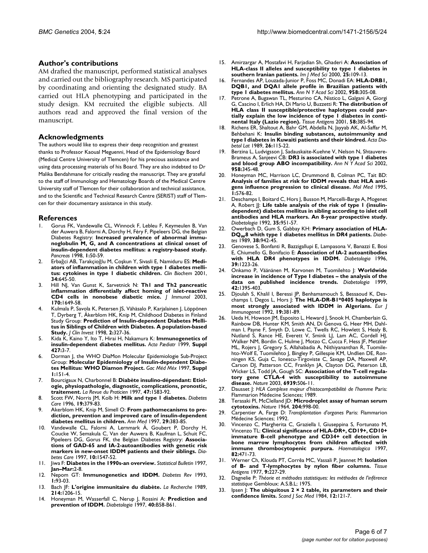### **Author's contributions**

AM drafted the manuscript, performed statistical analyses and carried out the bibliography research. MS participated by coordinating and orienting the designated study. BA carried out HLA phenotyping and participated in the study design. KM recruited the eligible subjects. All authors read and approved the final version of the manuscript.

### **Acknowledgments**

The authors would like to express their deep recognition and greatest thanks to Professor Kaoual Meguenni, Head of the Epidemiology Board (Medical Centre University of Tlemcen) for his precious assistance and using data processing materials of his Board. They are also indebted to Dr Malika Bendahmane for critically reading the manuscript. They are grateful to the staff of Immunology and Hematology Boards of the Medical Centre University staff of Tlemcen for their collaboration and technical assistance, and to the Scientific and Technical Research Centre (SERIST) staff of Tlemcen for their documentary assistance in this study.

### **References**

- 1. Gorus FK, Vandewalle CL, Winnock F, Lebleu F, Keymeulen B, Van der Auwera B, Falorni A, Dorchy H, Féry F, Pipeleers DG, the Belgian Diabetes Registry: **Increased prevalence of abnormal immunoglobulin M, G, and A concentrations at clinical onset of insulin-dependent diabetes mellitus: a registry-based study.** *Pancreas* 1998, **1:**50-59.
- Erbağci AB, Tarakçioğlu M, Coşkun Y, Sivasli E, Namiduru ES: [Medi](http://www.ncbi.nlm.nih.gov/entrez/query.fcgi?cmd=Retrieve&db=PubMed&dopt=Abstract&list_uids=10.1016/S0009-9120(01)00275-2)**[ators of inflammation in children with type 1 diabetes melli](http://www.ncbi.nlm.nih.gov/entrez/query.fcgi?cmd=Retrieve&db=PubMed&dopt=Abstract&list_uids=10.1016/S0009-9120(01)00275-2)[tus: cytokines in type 1 diabetic children](http://www.ncbi.nlm.nih.gov/entrez/query.fcgi?cmd=Retrieve&db=PubMed&dopt=Abstract&list_uids=10.1016/S0009-9120(01)00275-2)[.](http://www.ncbi.nlm.nih.gov/entrez/query.fcgi?cmd=Retrieve&db=PubMed&dopt=Abstract&list_uids=11849625)** *Clin Biochem* 2001, **34:**645-50.
- 3. Hill NJ, Van Gunst K, Sarvetnick N: **[Th1 and Th2 pancreatic](http://www.ncbi.nlm.nih.gov/entrez/query.fcgi?cmd=Retrieve&db=PubMed&dopt=Abstract&list_uids=12574327) [inflammation differentially affect homing of islet-reactive](http://www.ncbi.nlm.nih.gov/entrez/query.fcgi?cmd=Retrieve&db=PubMed&dopt=Abstract&list_uids=12574327) [CD4 cells in nonobese diabetic mice.](http://www.ncbi.nlm.nih.gov/entrez/query.fcgi?cmd=Retrieve&db=PubMed&dopt=Abstract&list_uids=12574327)** *J Immunol* 2003, **170:**1649-58.
- 4. Kulmala P, Savola K, Petersen JS, Vähäsalo P, Karjalainen J, Löppönen T, Dyrberg T, Åkerblom HK, Knip M, Childhood Diabetes in Finland Study Group: **Prediction of Insulin-dependent Diabetes Mellitus in Siblings of Children with Diabetes. A population-based Study.** *J Clin Invest* 1998, **2:**327-36.
- 5. Kida K, Kaino Y, Ito T, Hirai H, Nakamura K: **Immunogenetics of insulin-dependent diabetes mellitus.** *Acta Pædiatr* 1999, **Suppl 427:**3-7.
- 6. Dorman J, the WHO DiaMon Molecular Epidemiologie Sub-Project Group: **Molecular Epidemiology of Insulin-dependent Diabetes Mellitus: WHO Diamon Project.** *Gac Méd Méx* 1997, **Suppl 1:**151-4.
- 7. Bourcigaux N, Charbonnel B: **[Diabète insulino-dépendant: Etiol](http://www.ncbi.nlm.nih.gov/entrez/query.fcgi?cmd=Retrieve&db=PubMed&dopt=Abstract&list_uids=9366118)[ogie, physiopathologie, diagnostic, complications, pronostic,](http://www.ncbi.nlm.nih.gov/entrez/query.fcgi?cmd=Retrieve&db=PubMed&dopt=Abstract&list_uids=9366118) [traitement.](http://www.ncbi.nlm.nih.gov/entrez/query.fcgi?cmd=Retrieve&db=PubMed&dopt=Abstract&list_uids=9366118)** *La Revue du Praticien* 1997, **47:**1583-92.
- 8. Scott FW, Norris JM, Kolb H: **[Milk and type 1 diabetes.](http://www.ncbi.nlm.nih.gov/entrez/query.fcgi?cmd=Retrieve&db=PubMed&dopt=Abstract&list_uids=8729165)** *Diabetes Care* 1996, **19:**379-83.
- 9. Akerblom HK, Knip M, Simell O: **[From pathomecanisms to pre](http://www.ncbi.nlm.nih.gov/entrez/query.fcgi?cmd=Retrieve&db=PubMed&dopt=Abstract&list_uids=9453284)[diction, prevention and improved care of insulin-dependent](http://www.ncbi.nlm.nih.gov/entrez/query.fcgi?cmd=Retrieve&db=PubMed&dopt=Abstract&list_uids=9453284) [diabetes mellitus in children.](http://www.ncbi.nlm.nih.gov/entrez/query.fcgi?cmd=Retrieve&db=PubMed&dopt=Abstract&list_uids=9453284)** *Ann Med* 1997, **29:**383-85.
- Vandewalle CL, Falorni A, Lernmark Å, Goubert P, Dorchy H, Coucke W, Semakula C, Van der Auwera B, Kaufman L, Schuit FC, Pipeleers DG, Gorus FK, the Belgian Diabetes Registry: **Associations of GAD-65 and IA-2-autoantibodies with genetic risk markers in new-onset IDDM patients and their siblings.** *Diabetes Care* 1997, **10:**1547-52.
- 11. Jiwa F: **Diabetes in the 1990s-an overview.** *Statistical Bulletin* 1997, **Jan–Mar:**2-8.
- 12. Nepom GT: **Immunogenetics and IDDM.** *Diabetes Rev* 1993, **1:**93-03.
- 13. Bach JF: **L'origine immunitaire du diabète.** *La Recherche* 1989, **214:**1206-15.
- 14. Honeyman M, Wasserfall C, Nerup J, Rossini A: **[Prediction and](http://www.ncbi.nlm.nih.gov/entrez/query.fcgi?cmd=Retrieve&db=PubMed&dopt=Abstract&list_uids=10.1007/s001250051403) [prevention of IDDM](http://www.ncbi.nlm.nih.gov/entrez/query.fcgi?cmd=Retrieve&db=PubMed&dopt=Abstract&list_uids=10.1007/s001250051403)[.](http://www.ncbi.nlm.nih.gov/entrez/query.fcgi?cmd=Retrieve&db=PubMed&dopt=Abstract&list_uids=9345647)** *Diabetologia* 1997, **40:**B58-B61.
- 15. Amirzargar A, Mostafavi H, Farjadian Sh, Ghaderi A: **Association of HLA-class II alleles and susceptibility to type 1 diabetes in southern Iranian patients.** *Irn J Med Sci* 2000, **25:**109-13.
- 16. Fernandes AP, Louzada-Junior P, Foss MC, Donadi EA: **[HLA-DRB1,](http://www.ncbi.nlm.nih.gov/entrez/query.fcgi?cmd=Retrieve&db=PubMed&dopt=Abstract&list_uids=12021129) [DQB1, and DQA1 allele profile in Brazilian patients with](http://www.ncbi.nlm.nih.gov/entrez/query.fcgi?cmd=Retrieve&db=PubMed&dopt=Abstract&list_uids=12021129) [type 1 diabetes mellitus.](http://www.ncbi.nlm.nih.gov/entrez/query.fcgi?cmd=Retrieve&db=PubMed&dopt=Abstract&list_uids=12021129)** *Ann N Y Acad Sci* 2002, **958:**305-08.
- 17. Petrone A, Bugawan TL, Mesturino CA, Nistico L, Galgani A, Giorgi G, Cascino I, Erlich HA, Di Mario U, Buzzetti R: **[The distribution of](http://www.ncbi.nlm.nih.gov/entrez/query.fcgi?cmd=Retrieve&db=PubMed&dopt=Abstract&list_uids=10.1034/j.1399-0039.2001.580607.x) HLA class II susceptible/protective haplotypes could par[tially explain the low incidence of type 1 diabetes in conti](http://www.ncbi.nlm.nih.gov/entrez/query.fcgi?cmd=Retrieve&db=PubMed&dopt=Abstract&list_uids=10.1034/j.1399-0039.2001.580607.x)[nental Italy \(Lazio region\)](http://www.ncbi.nlm.nih.gov/entrez/query.fcgi?cmd=Retrieve&db=PubMed&dopt=Abstract&list_uids=10.1034/j.1399-0039.2001.580607.x)[.](http://www.ncbi.nlm.nih.gov/entrez/query.fcgi?cmd=Retrieve&db=PubMed&dopt=Abstract&list_uids=11929589)** *Tissue Antigens* 2001, **58:**385-94.
- 18. Richens ER, Shaltout A, Bahr GM, Abdella N, Jayyab AK, Al-Saffar M, Behbehani K: **[Insulin binding substances, autoimmunity and](http://www.ncbi.nlm.nih.gov/entrez/query.fcgi?cmd=Retrieve&db=PubMed&dopt=Abstract&list_uids=2789462) [type I diabetes in Kuwaiti patients and their kindred.](http://www.ncbi.nlm.nih.gov/entrez/query.fcgi?cmd=Retrieve&db=PubMed&dopt=Abstract&list_uids=2789462)** *Acta Diabetol Lat* 1989, **26:**115-22.
- 19. Berzina L, Ludvigsson J, Sadauskaite-Kuehne V, Nelson N, Shtauvere-Brameus A, Sanjeevi CB: **[DR3 is associated with type 1 diabetes](http://www.ncbi.nlm.nih.gov/entrez/query.fcgi?cmd=Retrieve&db=PubMed&dopt=Abstract&list_uids=12021139) [and blood group ABO incompatibility.](http://www.ncbi.nlm.nih.gov/entrez/query.fcgi?cmd=Retrieve&db=PubMed&dopt=Abstract&list_uids=12021139)** *Ann N Y Acad Sci* 2002, **958:**345-48.
- 20. Honeyman MC, Harrison LC, Drummond B, Colman PC, Tait BD: **[Analysis of families at risk for IDDM reveals that HLA anti](http://www.ncbi.nlm.nih.gov/entrez/query.fcgi?cmd=Retrieve&db=PubMed&dopt=Abstract&list_uids=8529124)[gens influence progression to clinical disease.](http://www.ncbi.nlm.nih.gov/entrez/query.fcgi?cmd=Retrieve&db=PubMed&dopt=Abstract&list_uids=8529124)** *Mol Med* 1995, **1:**576-82.
- 21. Deschamps I, Boitard C, Hors J, Busson M, Marcelli-Barge A, Mogenet A, Robert JJ: **[Life table analysis of the risk of type 1 \(insulin](http://www.ncbi.nlm.nih.gov/entrez/query.fcgi?cmd=Retrieve&db=PubMed&dopt=Abstract&list_uids=1451952)dependent) diabetes mellitus in sibling according to islet cell [antibodies and HLA markers. An 8-year prospective study.](http://www.ncbi.nlm.nih.gov/entrez/query.fcgi?cmd=Retrieve&db=PubMed&dopt=Abstract&list_uids=1451952)** *Diabetologia* 1992, **35:**951-57.
- 22. Owerbach D, Gum S, Gabbay KH: **Primary association of HLA-DQ[W8 whith type 1 diabetes mellitus in DR4 patients.](http://www.ncbi.nlm.nih.gov/entrez/query.fcgi?cmd=Retrieve&db=PubMed&dopt=Abstract&list_uids=2786821)** *Diabetes* 1989, **38:**942-45.
- 23. Genovese S, Bonfanti R, Bazzigallupi E, Lampasona V, Banazzi E, Bosi E, Chiumello G, Bonifacio E: **[Association of IA-2 autoantibodies](http://www.ncbi.nlm.nih.gov/entrez/query.fcgi?cmd=Retrieve&db=PubMed&dopt=Abstract&list_uids=8897011) [with HLA DR4 phenotypes in IDDM.](http://www.ncbi.nlm.nih.gov/entrez/query.fcgi?cmd=Retrieve&db=PubMed&dopt=Abstract&list_uids=8897011)** *Diabetologia* 1996, **39:**1223-26.
- 24. Onkamo P, Väänänen M, Karvonen M, Tuomilehto J: **[Worldwide](http://www.ncbi.nlm.nih.gov/entrez/query.fcgi?cmd=Retrieve&db=PubMed&dopt=Abstract&list_uids=10.1007/s001250051309) [increase in incidence of Type I diabetes – the analysis of the](http://www.ncbi.nlm.nih.gov/entrez/query.fcgi?cmd=Retrieve&db=PubMed&dopt=Abstract&list_uids=10.1007/s001250051309) [data on published incidence trends](http://www.ncbi.nlm.nih.gov/entrez/query.fcgi?cmd=Retrieve&db=PubMed&dopt=Abstract&list_uids=10.1007/s001250051309)[.](http://www.ncbi.nlm.nih.gov/entrez/query.fcgi?cmd=Retrieve&db=PubMed&dopt=Abstract&list_uids=10651256)** *Diabetologia* 1999, **42:**1395-403.
- 25. Djoulah S, Khalil I, Beressi JP, Benhamamouch S, Bessaoud K, Deschamps I, Degos L, Hors J: **[The HLA-DR-B1\\*0405 haplotype is](http://www.ncbi.nlm.nih.gov/entrez/query.fcgi?cmd=Retrieve&db=PubMed&dopt=Abstract&list_uids=1477090) [most strongly associated with IDDM in Algerians.](http://www.ncbi.nlm.nih.gov/entrez/query.fcgi?cmd=Retrieve&db=PubMed&dopt=Abstract&list_uids=1477090)** *Eur J Immunogenet* 1992, **19:**381-89.
- 26. Ueda H, Howson JM, Esposito L, Heward J, Snook H, Chamberlain G, Rainbow DB, Hunter KM, Smith AN, Di Genova G, Heer MH, Dahlman I, Payne F, Smyth D, Lowe C, Twells RC, Howlett S, Healy B, Nutland S, Rance HE, Everett V, Smink LJ, Lam AC, Cordell HJ, Walker NM, Bordin C, Hulme J, Motzo C, Cucca F, Hess JF, Metzker ML, Rojers J, Gregory S, Allahabadia A, Nithiyananthan R, Tuomilehto-Wolf E, Tuomilehto J, Bingley P, Gillespie KM, Undlien DE, Ronningen KS, Guja C, Ionescu-Tirgoviste C, Savage DA, Maxwell AP, Carson DJ, Patterson CC, Franklyn JA, Clayton DG, Peterson LB, Wicker LS, Todd JA, Gough SC: **[Association of the T-cell regula](http://www.ncbi.nlm.nih.gov/entrez/query.fcgi?cmd=Retrieve&db=PubMed&dopt=Abstract&list_uids=10.1038/nature01621)[tory gene CTLA-4 with susceptibility to autoimmune](http://www.ncbi.nlm.nih.gov/entrez/query.fcgi?cmd=Retrieve&db=PubMed&dopt=Abstract&list_uids=10.1038/nature01621) [disease.](http://www.ncbi.nlm.nih.gov/entrez/query.fcgi?cmd=Retrieve&db=PubMed&dopt=Abstract&list_uids=10.1038/nature01621)** *Nature* 2003, **6939:**506-11.
- 27. Dausset J: *HLA Complexe majeur d'histocompatibilité de l'homme* Paris: Flammarion Médecine Sciences; 1989.
- 28. Terasaki PI, McClelland JD: **[Microdroplet assay of human serum](http://www.ncbi.nlm.nih.gov/entrez/query.fcgi?cmd=Retrieve&db=PubMed&dopt=Abstract&list_uids=14248725) [cytotoxins.](http://www.ncbi.nlm.nih.gov/entrez/query.fcgi?cmd=Retrieve&db=PubMed&dopt=Abstract&list_uids=14248725)** *Nature* 1964, **204:**998-00.
- 29. Carpentier A, Farge D: *Transplantation d'organes* Paris: Flammarion Médecine Sciences; 1992.
- 30. Vincenzo C, Margherita C, Graziella I, Giuseppina S, Fortunato M, Vincenzo TL: **[Clinical significance of HLA-DR+, CD19+, CD10+](http://www.ncbi.nlm.nih.gov/entrez/query.fcgi?cmd=Retrieve&db=PubMed&dopt=Abstract&list_uids=9299867) immature B-cell phenotype and CD34+ cell detection in [bone marrow lymphocytes from children affected with](http://www.ncbi.nlm.nih.gov/entrez/query.fcgi?cmd=Retrieve&db=PubMed&dopt=Abstract&list_uids=9299867) [immune thrombocytopenic purpura.](http://www.ncbi.nlm.nih.gov/entrez/query.fcgi?cmd=Retrieve&db=PubMed&dopt=Abstract&list_uids=9299867)** *Haematologica* 1997, **82:**471-73.
- 31. Werner Ch, Klouda PT, Corrêa MC, Vassali P, Jeannet M: **[Isolation](http://www.ncbi.nlm.nih.gov/entrez/query.fcgi?cmd=Retrieve&db=PubMed&dopt=Abstract&list_uids=301671) [of B- and T-lymphocytes by nylon fiber columns.](http://www.ncbi.nlm.nih.gov/entrez/query.fcgi?cmd=Retrieve&db=PubMed&dopt=Abstract&list_uids=301671)** *Tissue Antigens* 1977, **9:**227-29.
- 32. Dagnelie P: *Théorie et méthodes statistiques: les méthodes de l'inférence statistique* Gembloux: A.S.B.L; 1975.
- 33. Ipsen J: **[The ubiquitous 2 × 2 table, its parameters and their](http://www.ncbi.nlm.nih.gov/entrez/query.fcgi?cmd=Retrieve&db=PubMed&dopt=Abstract&list_uids=6505659) [confidence limits.](http://www.ncbi.nlm.nih.gov/entrez/query.fcgi?cmd=Retrieve&db=PubMed&dopt=Abstract&list_uids=6505659)** *Scand J Soc Med* 1984, **12:**121-7.